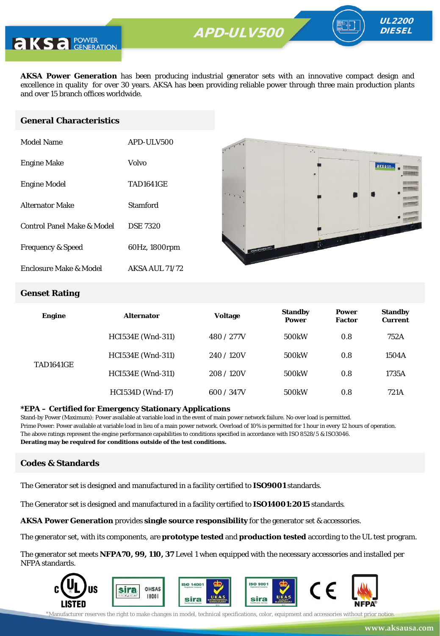

**AKSA Power Generation** has been producing industrial generator sets with an innovative compact design and excellence in quality for over 30 years. AKSA has been providing reliable power through three main production plants and over 15 branch offices worldwide.

#### **General Characteristics**

| Model Name                   | APD-ULV500       |
|------------------------------|------------------|
| <b>Engine Make</b>           | Volvo            |
| <b>Engine Model</b>          | <b>TAD1641GE</b> |
| <b>Alternator Make</b>       | Stamford         |
| Control Panel Make & Model   | <b>DSE 7320</b>  |
| <b>Frequency &amp; Speed</b> | 60Hz, 1800rpm    |
| Enclosure Make & Model       | AKSA AUL 71/72   |



UL2200 **DIESEL** 

#### **Genset Rating**

| <b>Engine</b>    | <b>Alternator</b>        | <b>Voltage</b> | <b>Standby</b><br><b>Power</b> | <b>Power</b><br><b>Factor</b> | <b>Standby</b><br><b>Current</b> |
|------------------|--------------------------|----------------|--------------------------------|-------------------------------|----------------------------------|
| <b>TAD1641GE</b> | <b>HCI534E</b> (Wnd-311) | 480 / 277V     | 500 <sub>k</sub> W             | 0.8                           | 752A                             |
|                  | <b>HCI534E</b> (Wnd-311) | 240/120V       | 500 <sub>k</sub> W             | 0.8                           | 1504A                            |
|                  | <b>HCI534E</b> (Wnd-311) | 208/120V       | 500 <sub>k</sub> W             | 0.8                           | 1735A                            |
|                  | <b>HCI534D</b> (Wnd-17)  | 600 / 347V     | 500 <sub>k</sub> W             | 0.8                           | 721A                             |

#### **\*EPA – Certified for Emergency Stationary Applications**

Stand-by Power (Maximum): Power available at variable load in the event of main power network failure. No over load is permitted. Prime Power: Power available at variable load in lieu of a main power network. Overload of 10% is permitted for 1 hour in every 12 hours of operation. The above ratings represent the engine performance capabilities to conditions specified in accordance with ISO 8528/5 & ISO3046. **Derating may be required for conditions outside of the test conditions.**

#### **Codes & Standards**

The Generator set is designed and manufactured in a facility certified to **ISO9001** standards.

The Generator set is designed and manufactured in a facility certified to **ISO14001:2015** standards.

**AKSA Power Generation** provides **single source responsibility** for the generator set & accessories.

The generator set, with its components, are **prototype tested** and **production tested** according to the UL test program.

The generator set meets **NFPA70, 99, 110, 37** Level 1 when equipped with the necessary accessories and installed per NFPA standards.

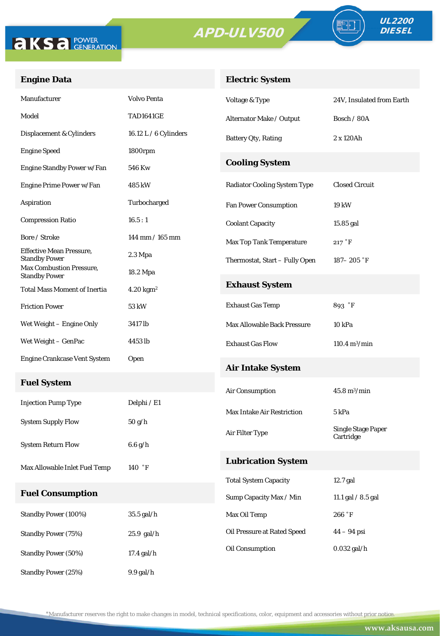

Standby Power (50%) 17.4 gal/h

Standby Power (25%) 9.9 gal/h



#### **Engine Data**

### **Electric System**

| Manufacturer                                            | <b>Volvo Penta</b>           | Voltage & Type                      | 24V, Insulated from Earth              |  |
|---------------------------------------------------------|------------------------------|-------------------------------------|----------------------------------------|--|
| Model                                                   | <b>TAD1641GE</b>             | Alternator Make / Output            | Bosch / 80A                            |  |
| Displacement & Cylinders                                | 16.12 L $/$ 6 Cylinders      | <b>Battery Qty, Rating</b>          | 2 x 120Ah                              |  |
| <b>Engine Speed</b>                                     | 1800rpm                      |                                     |                                        |  |
| Engine Standby Power w/Fan                              | 546 Kw                       | <b>Cooling System</b>               |                                        |  |
| Engine Prime Power w/Fan                                | 485 kW                       | <b>Radiator Cooling System Type</b> | <b>Closed Circuit</b>                  |  |
| Aspiration                                              | Turbocharged                 | <b>Fan Power Consumption</b>        | 19 kW                                  |  |
| <b>Compression Ratio</b>                                | 16.5:1                       | <b>Coolant Capacity</b>             | 15.85 gal                              |  |
| Bore / Stroke                                           | 144 mm / 165 mm              | <b>Max Top Tank Temperature</b>     | 217 °F                                 |  |
| <b>Effective Mean Pressure,</b><br><b>Standby Power</b> | $2.3 \mathrm{Mpa}$           | Thermostat, Start - Fully Open      | $187 - 205$ °F                         |  |
| Max Combustion Pressure,<br><b>Standby Power</b>        | 18.2 Mpa                     |                                     |                                        |  |
| <b>Total Mass Moment of Inertia</b>                     | $4.20 \text{ kg} \text{m}^2$ | <b>Exhaust System</b>               |                                        |  |
| <b>Friction Power</b>                                   | 53 kW                        | <b>Exhaust Gas Temp</b>             | 893 °F                                 |  |
| Wet Weight – Engine Only                                | 3417 lb                      | Max Allowable Back Pressure         | 10 kPa                                 |  |
| Wet Weight – GenPac                                     | 4453 lb                      | <b>Exhaust Gas Flow</b>             | $110.4 \text{ m}^3/\text{min}$         |  |
| <b>Engine Crankcase Vent System</b>                     | Open                         | <b>Air Intake System</b>            |                                        |  |
| <b>Fuel System</b>                                      |                              | Air Consumption                     | $45.8 \text{ m}^3/\text{min}$          |  |
| <b>Injection Pump Type</b>                              | Delphi / E1                  |                                     |                                        |  |
| <b>System Supply Flow</b>                               | 50 g/h                       | <b>Max Intake Air Restriction</b>   | 5 kPa                                  |  |
|                                                         |                              | Air Filter Type                     | <b>Single Stage Paper</b><br>Cartridge |  |
| <b>System Return Flow</b>                               | 6.6 g/h                      |                                     |                                        |  |
| Max Allowable Inlet Fuel Temp                           | 140 °F                       | <b>Lubrication System</b>           |                                        |  |
|                                                         |                              | <b>Total System Capacity</b>        | 12.7 gal                               |  |
| <b>Fuel Consumption</b>                                 |                              | Sump Capacity Max / Min             | 11.1 gal / 8.5 gal                     |  |
| <b>Standby Power (100%)</b>                             | 35.5 gal/h                   | Max Oil Temp                        | 266 °F                                 |  |
| <b>Standby Power (75%)</b>                              | $25.9$ gal/h                 | Oil Pressure at Rated Speed         | $44 - 94$ psi                          |  |
|                                                         |                              | Oil Consumption                     | $0.032$ gal/h                          |  |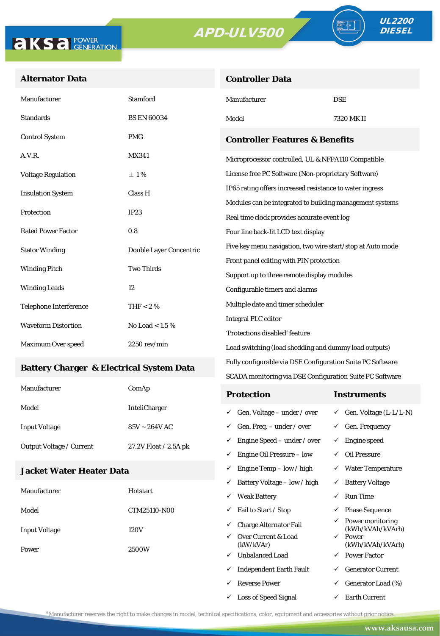**Controller Data**





#### **Alternator Data**

| Manufacturer                                    | <b>Stamford</b>                           | Manufacturer                                               | <b>DSE</b>                                 |  |  |
|-------------------------------------------------|-------------------------------------------|------------------------------------------------------------|--------------------------------------------|--|--|
| <b>Standards</b>                                | <b>BS EN 60034</b>                        | Model                                                      | 7320 MK II                                 |  |  |
| <b>Control System</b>                           | <b>PMG</b>                                | <b>Controller Features &amp; Benefits</b>                  |                                            |  |  |
| A.V.R.                                          | <b>MX341</b>                              | Microprocessor controlled, UL & NFPA110 Compatible         |                                            |  |  |
| <b>Voltage Regulation</b>                       | $\pm 1\%$                                 | License free PC Software (Non-proprietary Software)        |                                            |  |  |
| <b>Insulation System</b>                        | Class H                                   | IP65 rating offers increased resistance to water ingress   |                                            |  |  |
|                                                 |                                           | Modules can be integrated to building management systems   |                                            |  |  |
| Protection                                      | IP23                                      | Real time clock provides accurate event log                |                                            |  |  |
| <b>Rated Power Factor</b>                       | 0.8                                       | Four line back-lit LCD text display                        |                                            |  |  |
| <b>Stator Winding</b>                           | Double Layer Concentric                   | Five key menu navigation, two wire start/stop at Auto mode |                                            |  |  |
|                                                 |                                           | Front panel editing with PIN protection                    |                                            |  |  |
|                                                 | <b>Two Thirds</b><br><b>Winding Pitch</b> |                                                            | Support up to three remote display modules |  |  |
| <b>Winding Leads</b>                            | 12                                        | Configurable timers and alarms                             |                                            |  |  |
| <b>Telephone Interference</b>                   | THF $< 2 \%$                              | Multiple date and timer scheduler                          |                                            |  |  |
| <b>Waveform Distortion</b><br>No Load < $1.5\%$ |                                           | <b>Integral PLC editor</b>                                 |                                            |  |  |
|                                                 |                                           | 'Protections disabled' feature                             |                                            |  |  |
| Maximum Over speed                              | $2250$ rev/min                            | Load switching (load shedding and dummy load outputs)      |                                            |  |  |

#### **Battery Charger & Electrical System Data**

| Manufacturer                    | ComAp                 | <b>Protection</b>                        | Instruments                         |
|---------------------------------|-----------------------|------------------------------------------|-------------------------------------|
| Model                           | <b>InteliCharger</b>  | $\checkmark$ Gen. Voltage – under / over | $\checkmark$ Gen. Voltage (L-L/L-N) |
| <b>Input Voltage</b>            | $85V \sim 264V$ AC    | $\checkmark$ Gen. Freq. – under / over   | $\checkmark$ Gen. Frequency         |
| <b>Output Voltage / Current</b> | 27.2V Float / 2.5A pk | $\checkmark$ Engine Speed – under / over | Engine speed                        |
|                                 |                       | Engine Oil Pressure – low<br>✓           | Oil Pressure                        |

Fully configurable via DSE Configuration Suite PC Software SCADA monitoring via DSE Configuration Suite PC Software

 $\checkmark$  Engine Temp – low / high  $\checkmark$  Water Temperature

 $\checkmark$  Loss of Speed Signal  $\checkmark$  Earth Current

#### **Jacket Water Heater Data**

|                      |                 | ✓                                | Battery Voltage – low / high   | ✓                         | <b>Battery Voltage</b>               |
|----------------------|-----------------|----------------------------------|--------------------------------|---------------------------|--------------------------------------|
| Manufacturer         | <b>Hotstart</b> | ✓                                | <b>Weak Battery</b>            | ✓                         | Run Time                             |
| Model                | CTM25110-N00    | ✓                                | Fail to Start / Stop           | ✓                         | <b>Phase Sequence</b>                |
| <b>Input Voltage</b> | 120V            | ✓                                | <b>Charge Alternator Fail</b>  | ✓                         | Power monitoring<br>(kWh/kVAh/kVArh) |
|                      | ✓<br>2500W<br>✓ | Over Current & Load<br>(kW/kVAr) | $\checkmark$                   | Power<br>(kWh/kVAh/kVArh) |                                      |
| Power                |                 |                                  | <b>Unbalanced Load</b>         | $\checkmark$              | <b>Power Factor</b>                  |
|                      |                 | ✓                                | <b>Independent Earth Fault</b> | ✓                         | <b>Generator Current</b>             |
|                      |                 | ✓                                | <b>Reverse Power</b>           | ✓                         | Generator Load (%)                   |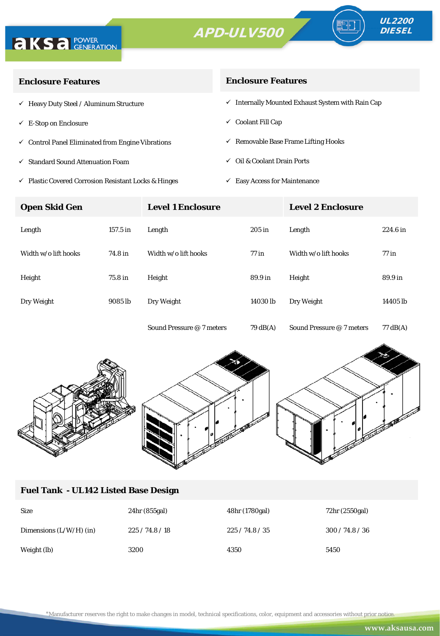



| <b>Enclosure Features</b>                                    | <b>Enclosure Features</b>                                    |
|--------------------------------------------------------------|--------------------------------------------------------------|
| $\checkmark$ Heavy Duty Steel / Aluminum Structure           | $\checkmark$ Internally Mounted Exhaust System with Rain Cap |
| $\checkmark$ E-Stop on Enclosure                             | $\checkmark$ Coolant Fill Cap                                |
| $\checkmark$ Control Panel Eliminated from Engine Vibrations | $\checkmark$ Removable Base Frame Lifting Hooks              |
| ✓ Standard Sound Attenuation Foam                            | Oil & Coolant Drain Ports<br>$\checkmark$                    |
|                                                              |                                                              |

- $\checkmark$ Plastic Covered Corrosion Resistant Locks & Hinges
- $\checkmark$  Easy Access for Maintenance

| <b>Open Skid Gen</b> | <b>Level 1 Enclosure</b> |                           | <b>Level 2 Enclosure</b> |                           |          |
|----------------------|--------------------------|---------------------------|--------------------------|---------------------------|----------|
| Length               | 157.5 in                 | Length                    | $205$ in                 | Length                    | 224.6 in |
| Width w/o lift hooks | 74.8 in                  | Width w/o lift hooks      | $77$ in                  | Width w/o lift hooks      | $77$ in  |
| Height               | 75.8 in                  | Height                    | 89.9 in                  | Height                    | 89.9 in  |
| Dry Weight           | 9085 lb                  | Dry Weight                | 14030 lb                 | Dry Weight                | 14405 lb |
|                      |                          | Sound Pressure @ 7 meters | 79 dB(A)                 | Sound Pressure @ 7 meters | 77 dB(A) |



#### **Fuel Tank - UL142 Listed Base Design**

| <b>Size</b>               | 24hr(855gal) | 48hr (1780gal) | 72hr (2550gal)  |
|---------------------------|--------------|----------------|-----------------|
| Dimensions $(L/W/H)$ (in) | 225/74.8/18  | 225/74.8/35    | 300 / 74.8 / 36 |
| Weight (lb)               | 3200         | 4350           | 5450            |